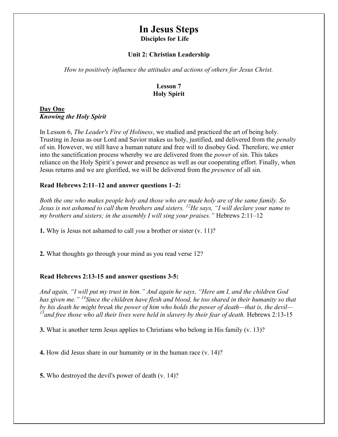# In Jesus Steps Disciples for Life

#### Unit 2: Christian Leadership

How to positively influence the attitudes and actions of others for Jesus Christ.

#### Lesson 7 Holy Spirit

#### Day One Knowing the Holy Spirit

In Lesson 6, The Leader's Fire of Holiness, we studied and practiced the art of being holy. Trusting in Jesus as our Lord and Savior makes us holy, justified, and delivered from the penalty of sin. However, we still have a human nature and free will to disobey God. Therefore, we enter into the sanctification process whereby we are delivered from the power of sin. This takes reliance on the Holy Spirit's power and presence as well as our cooperating effort. Finally, when Jesus returns and we are glorified, we will be delivered from the presence of all sin.

#### Read Hebrews 2:11–12 and answer questions 1–2:

Both the one who makes people holy and those who are made holy are of the same family. So Jesus is not ashamed to call them brothers and sisters.  $^{12}$ He says, "I will declare your name to my brothers and sisters; in the assembly I will sing your praises." Hebrews  $2:11-12$ 

1. Why is Jesus not ashamed to call *you* a brother or sister (v. 11)?

2. What thoughts go through your mind as you read verse 12?

#### Read Hebrews 2:13-15 and answer questions 3-5:

And again, "I will put my trust in him." And again he says, "Here am I, and the children God has given me." <sup>14</sup>Since the children have flesh and blood, he too shared in their humanity so that by his death he might break the power of him who holds the power of death—that is, the devil—  $15$  and free those who all their lives were held in slavery by their fear of death. Hebrews 2:13-15

3. What is another term Jesus applies to Christians who belong in His family (v. 13)?

4. How did Jesus share in our humanity or in the human race (v. 14)?

5. Who destroyed the devil's power of death (v. 14)?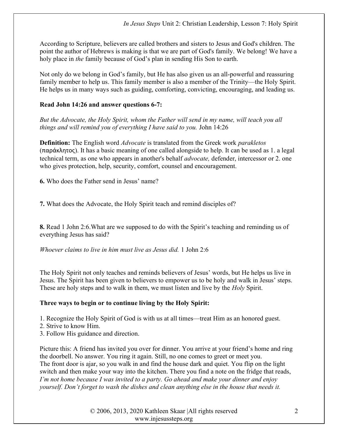According to Scripture, believers are called brothers and sisters to Jesus and God's children. The point the author of Hebrews is making is that we are part of God's family. We belong! We have a holy place in the family because of God's plan in sending His Son to earth.

Not only do we belong in God's family, but He has also given us an all-powerful and reassuring family member to help us. This family member is also a member of the Trinity—the Holy Spirit. He helps us in many ways such as guiding, comforting, convicting, encouraging, and leading us.

# Read John 14:26 and answer questions 6-7:

But the Advocate, the Holy Spirit, whom the Father will send in my name, will teach you all things and will remind you of everything I have said to you. John 14:26

**Definition:** The English word *Advocate* is translated from the Greek work *parakletos* (παράκλητος). It has a basic meaning of one called alongside to help. It can be used as 1. a legal technical term, as one who appears in another's behalf *advocate*, defender, intercessor or 2, one who gives protection, help, security, comfort, counsel and encouragement.

6. Who does the Father send in Jesus' name?

7. What does the Advocate, the Holy Spirit teach and remind disciples of?

8. Read 1 John 2:6.What are we supposed to do with the Spirit's teaching and reminding us of everything Jesus has said?

Whoever claims to live in him must live as Jesus did. 1 John 2:6

The Holy Spirit not only teaches and reminds believers of Jesus' words, but He helps us live in Jesus. The Spirit has been given to believers to empower us to be holy and walk in Jesus' steps. These are holy steps and to walk in them, we must listen and live by the *Holy* Spirit.

# Three ways to begin or to continue living by the Holy Spirit:

1. Recognize the Holy Spirit of God is with us at all times—treat Him as an honored guest.

2. Strive to know Him.

3. Follow His guidance and direction.

Picture this: A friend has invited you over for dinner. You arrive at your friend's home and ring the doorbell. No answer. You ring it again. Still, no one comes to greet or meet you. The front door is ajar, so you walk in and find the house dark and quiet. You flip on the light switch and then make your way into the kitchen. There you find a note on the fridge that reads, I'm not home because I was invited to a party. Go ahead and make your dinner and enjoy yourself. Don't forget to wash the dishes and clean anything else in the house that needs it.

> © 2006, 2013, 2020 Kathleen Skaar |All rights reserved www.injesussteps.org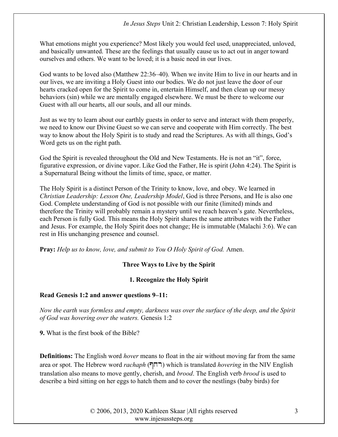What emotions might you experience? Most likely you would feel used, unappreciated, unloved, and basically unwanted. These are the feelings that usually cause us to act out in anger toward ourselves and others. We want to be loved; it is a basic need in our lives.

God wants to be loved also (Matthew 22:36–40). When we invite Him to live in our hearts and in our lives, we are inviting a Holy Guest into our bodies. We do not just leave the door of our hearts cracked open for the Spirit to come in, entertain Himself, and then clean up our messy behaviors (sin) while we are mentally engaged elsewhere. We must be there to welcome our Guest with all our hearts, all our souls, and all our minds.

Just as we try to learn about our earthly guests in order to serve and interact with them properly, we need to know our Divine Guest so we can serve and cooperate with Him correctly. The best way to know about the Holy Spirit is to study and read the Scriptures. As with all things, God's Word gets us on the right path.

God the Spirit is revealed throughout the Old and New Testaments. He is not an "it", force, figurative expression, or divine vapor. Like God the Father, He is spirit (John 4:24). The Spirit is a Supernatural Being without the limits of time, space, or matter.

The Holy Spirit is a distinct Person of the Trinity to know, love, and obey. We learned in Christian Leadership: Lesson One, Leadership Model, God is three Persons, and He is also one God. Complete understanding of God is not possible with our finite (limited) minds and therefore the Trinity will probably remain a mystery until we reach heaven's gate. Nevertheless, each Person is fully God. This means the Holy Spirit shares the same attributes with the Father and Jesus. For example, the Holy Spirit does not change; He is immutable (Malachi 3:6). We can rest in His unchanging presence and counsel.

Pray: Help us to know, love, and submit to You O Holy Spirit of God. Amen.

# Three Ways to Live by the Spirit

#### 1. Recognize the Holy Spirit

#### Read Genesis 1:2 and answer questions 9–11:

Now the earth was formless and empty, darkness was over the surface of the deep, and the Spirit of God was hovering over the waters. Genesis 1:2

9. What is the first book of the Bible?

**Definitions:** The English word *hover* means to float in the air without moving far from the same area or spot. The Hebrew word *rachaph* ( $\Box$ ) which is translated *hovering* in the NIV English translation also means to move gently, cherish, and brood. The English verb brood is used to describe a bird sitting on her eggs to hatch them and to cover the nestlings (baby birds) for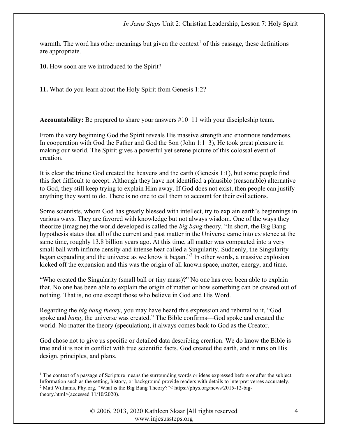warmth. The word has other meanings but given the context<sup>1</sup> of this passage, these definitions are appropriate.

10. How soon are we introduced to the Spirit?

11. What do you learn about the Holy Spirit from Genesis 1:2?

Accountability: Be prepared to share your answers #10–11 with your discipleship team.

From the very beginning God the Spirit reveals His massive strength and enormous tenderness. In cooperation with God the Father and God the Son (John 1:1–3), He took great pleasure in making our world. The Spirit gives a powerful yet serene picture of this colossal event of creation.

It is clear the triune God created the heavens and the earth (Genesis 1:1), but some people find this fact difficult to accept. Although they have not identified a plausible (reasonable) alternative to God, they still keep trying to explain Him away. If God does not exist, then people can justify anything they want to do. There is no one to call them to account for their evil actions.

Some scientists, whom God has greatly blessed with intellect, try to explain earth's beginnings in various ways. They are favored with knowledge but not always wisdom. One of the ways they theorize (imagine) the world developed is called the big bang theory. "In short, the Big Bang hypothesis states that all of the current and past matter in the Universe came into existence at the same time, roughly 13.8 billion years ago. At this time, all matter was compacted into a very small ball with infinite density and intense heat called a Singularity. Suddenly, the Singularity began expanding and the universe as we know it began."<sup>2</sup> In other words, a massive explosion kicked off the expansion and this was the origin of all known space, matter, energy, and time.

"Who created the Singularity (small ball or tiny mass)?" No one has ever been able to explain that. No one has been able to explain the origin of matter or how something can be created out of nothing. That is, no one except those who believe in God and His Word.

Regarding the big bang theory, you may have heard this expression and rebuttal to it, "God spoke and bang, the universe was created." The Bible confirms—God spoke and created the world. No matter the theory (speculation), it always comes back to God as the Creator.

God chose not to give us specific or detailed data describing creation. We do know the Bible is true and it is not in conflict with true scientific facts. God created the earth, and it runs on His design, principles, and plans.

<sup>&</sup>lt;sup>1</sup> The context of a passage of Scripture means the surrounding words or ideas expressed before or after the subject. Information such as the setting, history, or background provide readers with details to interpret verses accurately. <sup>2</sup> Matt Williams, Phy.org, "What is the Big Bang Theory?"< https://phys.org/news/2015-12-bigtheory.html>(accessed 11/10/2020).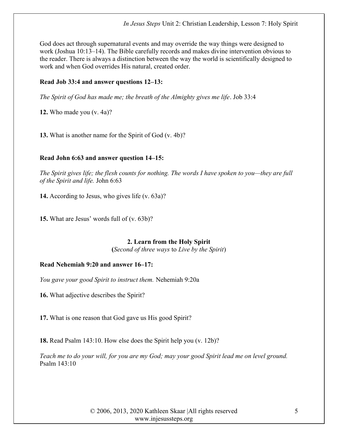God does act through supernatural events and may override the way things were designed to work (Joshua 10:13–14). The Bible carefully records and makes divine intervention obvious to the reader. There is always a distinction between the way the world is scientifically designed to work and when God overrides His natural, created order.

#### Read Job 33:4 and answer questions 12–13:

The Spirit of God has made me; the breath of the Almighty gives me life. Job 33:4

12. Who made you (v. 4a)?

13. What is another name for the Spirit of God (v. 4b)?

# Read John 6:63 and answer question 14–15:

The Spirit gives life; the flesh counts for nothing. The words I have spoken to you—they are full of the Spirit and life. John 6:63

14. According to Jesus, who gives life (v. 63a)?

15. What are Jesus' words full of (v. 63b)?

# 2. Learn from the Holy Spirit

(Second of three ways to Live by the Spirit)

# Read Nehemiah 9:20 and answer 16–17:

You gave your good Spirit to instruct them. Nehemiah 9:20a

16. What adjective describes the Spirit?

17. What is one reason that God gave us His good Spirit?

18. Read Psalm 143:10. How else does the Spirit help you (v. 12b)?

Teach me to do your will, for you are my God; may your good Spirit lead me on level ground. Psalm 143:10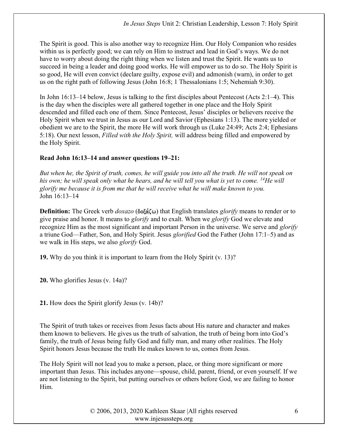The Spirit is good. This is also another way to recognize Him. Our Holy Companion who resides within us is perfectly good; we can rely on Him to instruct and lead in God's ways. We do not have to worry about doing the right thing when we listen and trust the Spirit. He wants us to succeed in being a leader and doing good works. He will empower us to do so. The Holy Spirit is so good, He will even convict (declare guilty, expose evil) and admonish (warn), in order to get us on the right path of following Jesus (John 16:8; 1 Thessalonians 1:5; Nehemiah 9:30).

In John 16:13–14 below, Jesus is talking to the first disciples about Pentecost (Acts 2:1–4). This is the day when the disciples were all gathered together in one place and the Holy Spirit descended and filled each one of them. Since Pentecost, Jesus' disciples or believers receive the Holy Spirit when we trust in Jesus as our Lord and Savior (Ephesians 1:13). The more yielded or obedient we are to the Spirit, the more He will work through us (Luke 24:49; Acts 2:4; Ephesians 5:18). Our next lesson, Filled with the Holy Spirit, will address being filled and empowered by the Holy Spirit.

#### Read John 16:13–14 and answer questions 19–21:

But when he, the Spirit of truth, comes, he will guide you into all the truth. He will not speak on his own; he will speak only what he hears, and he will tell you what is yet to come. <sup>14</sup>He will glorify me because it is from me that he will receive what he will make known to you. John 16:13–14

**Definition:** The Greek verb  $doxazo$  ( $\delta$ o $\xi \ω$ ) that English translates glorify means to render or to give praise and honor. It means to glorify and to exalt. When we glorify God we elevate and recognize Him as the most significant and important Person in the universe. We serve and *glorify* a triune God—Father, Son, and Holy Spirit. Jesus glorified God the Father (John 17:1–5) and as we walk in His steps, we also *glorify* God.

19. Why do you think it is important to learn from the Holy Spirit (v. 13)?

20. Who glorifies Jesus (v. 14a)?

21. How does the Spirit glorify Jesus (v. 14b)?

The Spirit of truth takes or receives from Jesus facts about His nature and character and makes them known to believers. He gives us the truth of salvation, the truth of being born into God's family, the truth of Jesus being fully God and fully man, and many other realities. The Holy Spirit honors Jesus because the truth He makes known to us, comes from Jesus.

The Holy Spirit will not lead you to make a person, place, or thing more significant or more important than Jesus. This includes anyone—spouse, child, parent, friend, or even yourself. If we are not listening to the Spirit, but putting ourselves or others before God, we are failing to honor Him.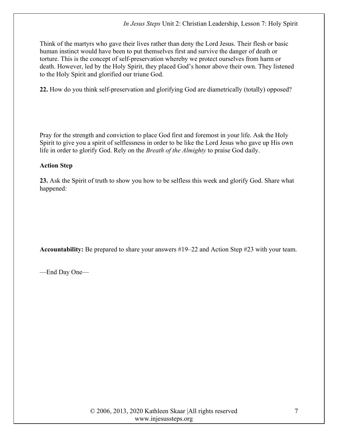Think of the martyrs who gave their lives rather than deny the Lord Jesus. Their flesh or basic human instinct would have been to put themselves first and survive the danger of death or torture. This is the concept of self-preservation whereby we protect ourselves from harm or death. However, led by the Holy Spirit, they placed God's honor above their own. They listened to the Holy Spirit and glorified our triune God.

22. How do you think self-preservation and glorifying God are diametrically (totally) opposed?

Pray for the strength and conviction to place God first and foremost in your life. Ask the Holy Spirit to give you a spirit of selflessness in order to be like the Lord Jesus who gave up His own life in order to glorify God. Rely on the Breath of the Almighty to praise God daily.

#### Action Step

23. Ask the Spirit of truth to show you how to be selfless this week and glorify God. Share what happened:

Accountability: Be prepared to share your answers #19–22 and Action Step #23 with your team.

—End Day One—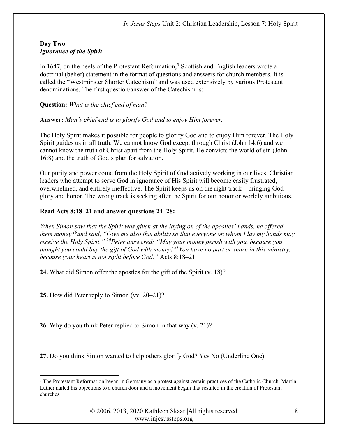#### Day Two Ignorance of the Spirit

In 1647, on the heels of the Protestant Reformation,<sup>3</sup> Scottish and English leaders wrote a doctrinal (belief) statement in the format of questions and answers for church members. It is called the "Westminster Shorter Catechism" and was used extensively by various Protestant denominations. The first question/answer of the Catechism is:

Question: What is the chief end of man?

Answer: Man's chief end is to glorify God and to enjoy Him forever.

The Holy Spirit makes it possible for people to glorify God and to enjoy Him forever. The Holy Spirit guides us in all truth. We cannot know God except through Christ (John 14:6) and we cannot know the truth of Christ apart from the Holy Spirit. He convicts the world of sin (John 16:8) and the truth of God's plan for salvation.

Our purity and power come from the Holy Spirit of God actively working in our lives. Christian leaders who attempt to serve God in ignorance of His Spirit will become easily frustrated, overwhelmed, and entirely ineffective. The Spirit keeps us on the right track—bringing God glory and honor. The wrong track is seeking after the Spirit for our honor or worldly ambitions.

#### Read Acts 8:18–21 and answer questions 24–28:

When Simon saw that the Spirit was given at the laying on of the apostles' hands, he offered them money<sup>19</sup> and said, "Give me also this ability so that everyone on whom I lay my hands may receive the Holy Spirit." <sup>20</sup>Peter answered: "May your money perish with you, because you thought you could buy the gift of God with money!<sup>21</sup>You have no part or share in this ministry, because your heart is not right before God." Acts 8:18–21

24. What did Simon offer the apostles for the gift of the Spirit (v. 18)?

25. How did Peter reply to Simon (vv. 20–21)?

26. Why do you think Peter replied to Simon in that way (v. 21)?

27. Do you think Simon wanted to help others glorify God? Yes No (Underline One)

<sup>&</sup>lt;sup>3</sup> The Protestant Reformation began in Germany as a protest against certain practices of the Catholic Church. Martin Luther nailed his objections to a church door and a movement began that resulted in the creation of Protestant churches.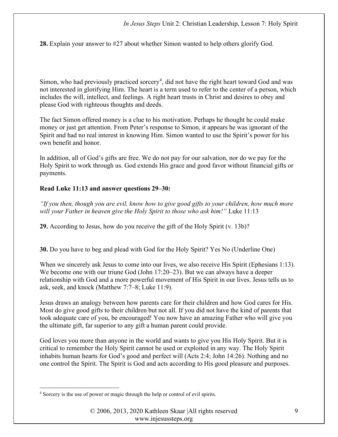28. Explain your answer to #27 about whether Simon wanted to help others glorify God.

Simon, who had previously practiced sorcery<sup>4</sup>, did not have the right heart toward God and was not interested in glorifying Him. The heart is a term used to refer to the center of a person, which includes the will, intellect, and feelings. A right heart trusts in Christ and desires to obey and please God with righteous thoughts and deeds.

The fact Simon offered money is a clue to his motivation. Perhaps he thought he could make money or just get attention. From Peter's response to Simon, it appears he was ignorant of the Spirit and had no real interest in knowing Him. Simon wanted to use the Spirit's power for his own benefit and honor.

In addition, all of God's gifts are free. We do not pay for our salvation, nor do we pay for the Holy Spirit to work through us. God extends His grace and good favor without financial gifts or payments.

#### Read Luke 11:13 and answer questions 29–30:

"If you then, though you are evil, know how to give good gifts to your children, how much more will your Father in heaven give the Holy Spirit to those who ask him!" Luke 11:13

29. According to Jesus, how do you receive the gift of the Holy Spirit (v. 13b)?

30. Do you have to beg and plead with God for the Holy Spirit? Yes No (Underline One)

When we sincerely ask Jesus to come into our lives, we also receive His Spirit (Ephesians 1:13). We become one with our triune God (John 17:20–23). But we can always have a deeper relationship with God and a more powerful movement of His Spirit in our lives. Jesus tells us to ask, seek, and knock (Matthew 7:7–8; Luke 11:9).

Jesus draws an analogy between how parents care for their children and how God cares for His. Most do give good gifts to their children but not all. If you did not have the kind of parents that took adequate care of you, be encouraged! You now have an amazing Father who will give you the ultimate gift, far superior to any gift a human parent could provide.

God loves you more than anyone in the world and wants to give you His Holy Spirit. But it is critical to remember the Holy Spirit cannot be used or exploited in any way. The Holy Spirit inhabits human hearts for God's good and perfect will (Acts 2:4; John 14:26). Nothing and no one control the Spirit. The Spirit is God and acts according to His good pleasure and purposes.

<sup>&</sup>lt;sup>4</sup> Sorcery is the use of power or magic through the help or control of evil spirits.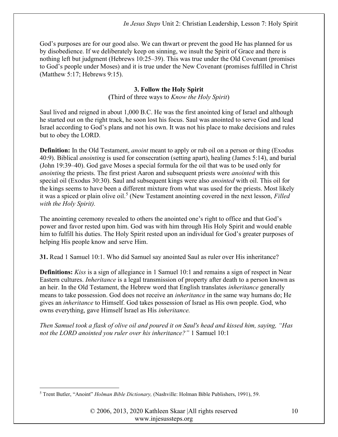God's purposes are for our good also. We can thwart or prevent the good He has planned for us by disobedience. If we deliberately keep on sinning, we insult the Spirit of Grace and there is nothing left but judgment (Hebrews 10:25–39). This was true under the Old Covenant (promises to God's people under Moses) and it is true under the New Covenant (promises fulfilled in Christ (Matthew 5:17; Hebrews 9:15).

# 3. Follow the Holy Spirit

(Third of three ways to *Know the Holy Spirit*)

Saul lived and reigned in about 1,000 B.C. He was the first anointed king of Israel and although he started out on the right track, he soon lost his focus. Saul was anointed to serve God and lead Israel according to God's plans and not his own. It was not his place to make decisions and rules but to obey the LORD.

**Definition:** In the Old Testament, *anoint* meant to apply or rub oil on a person or thing (Exodus 40:9). Biblical anointing is used for consecration (setting apart), healing (James 5:14), and burial (John 19:39–40). God gave Moses a special formula for the oil that was to be used only for anointing the priests. The first priest Aaron and subsequent priests were anointed with this special oil (Exodus 30:30). Saul and subsequent kings were also *anointed* with oil. This oil for the kings seems to have been a different mixture from what was used for the priests. Most likely it was a spiced or plain olive oil.<sup>5</sup> (New Testament anointing covered in the next lesson, *Filled* with the Holy Spirit).

The anointing ceremony revealed to others the anointed one's right to office and that God's power and favor rested upon him. God was with him through His Holy Spirit and would enable him to fulfill his duties. The Holy Spirit rested upon an individual for God's greater purposes of helping His people know and serve Him.

31. Read 1 Samuel 10:1. Who did Samuel say anointed Saul as ruler over His inheritance?

Definitions: Kiss is a sign of allegiance in 1 Samuel 10:1 and remains a sign of respect in Near Eastern cultures. Inheritance is a legal transmission of property after death to a person known as an heir. In the Old Testament, the Hebrew word that English translates inheritance generally means to take possession. God does not receive an inheritance in the same way humans do; He gives an inheritance to Himself. God takes possession of Israel as His own people. God, who owns everything, gave Himself Israel as His inheritance.

Then Samuel took a flask of olive oil and poured it on Saul's head and kissed him, saying, "Has not the LORD anointed you ruler over his inheritance?" 1 Samuel 10:1

<sup>&</sup>lt;sup>5</sup> Trent Butler, "Anoint" *Holman Bible Dictionary*, (Nashville: Holman Bible Publishers, 1991), 59.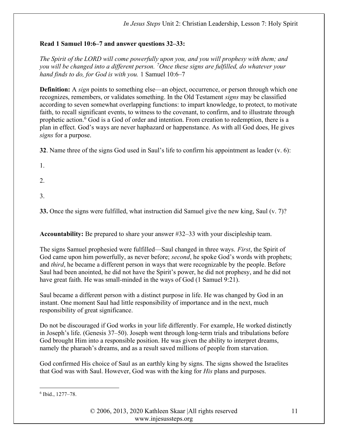# Read 1 Samuel 10:6–7 and answer questions 32–33:

The Spirit of the LORD will come powerfully upon you, and you will prophesy with them; and you will be changed into a different person. <sup>7</sup>Once these signs are fulfilled, do whatever your hand finds to do, for God is with you. 1 Samuel 10:6–7

**Definition:** A *sign* points to something else—an object, occurrence, or person through which one recognizes, remembers, or validates something. In the Old Testament signs may be classified according to seven somewhat overlapping functions: to impart knowledge, to protect, to motivate faith, to recall significant events, to witness to the covenant, to confirm, and to illustrate through prophetic action.<sup>6</sup> God is a God of order and intention. From creation to redemption, there is a plan in effect. God's ways are never haphazard or happenstance. As with all God does, He gives signs for a purpose.

32. Name three of the signs God used in Saul's life to confirm his appointment as leader (v. 6):

- 1.
- 
- 2.
- 3.

33. Once the signs were fulfilled, what instruction did Samuel give the new king, Saul (v. 7)?

Accountability: Be prepared to share your answer #32–33 with your discipleship team.

The signs Samuel prophesied were fulfilled—Saul changed in three ways. First, the Spirit of God came upon him powerfully, as never before; *second*, he spoke God's words with prophets; and *third*, he became a different person in ways that were recognizable by the people. Before Saul had been anointed, he did not have the Spirit's power, he did not prophesy, and he did not have great faith. He was small-minded in the ways of God (1 Samuel 9:21).

Saul became a different person with a distinct purpose in life. He was changed by God in an instant. One moment Saul had little responsibility of importance and in the next, much responsibility of great significance.

Do not be discouraged if God works in your life differently. For example, He worked distinctly in Joseph's life. (Genesis 37–50). Joseph went through long-term trials and tribulations before God brought Him into a responsible position. He was given the ability to interpret dreams, namely the pharaoh's dreams, and as a result saved millions of people from starvation.

God confirmed His choice of Saul as an earthly king by signs. The signs showed the Israelites that God was with Saul. However, God was with the king for His plans and purposes.

<sup>6</sup> Ibid., 1277–78.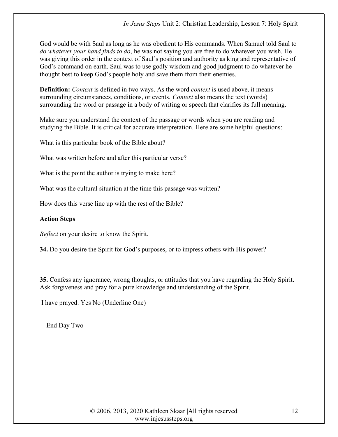God would be with Saul as long as he was obedient to His commands. When Samuel told Saul to do whatever your hand finds to do, he was not saying you are free to do whatever you wish. He was giving this order in the context of Saul's position and authority as king and representative of God's command on earth. Saul was to use godly wisdom and good judgment to do whatever he thought best to keep God's people holy and save them from their enemies.

**Definition:** Context is defined in two ways. As the word *context* is used above, it means surrounding circumstances, conditions, or events. Context also means the text (words) surrounding the word or passage in a body of writing or speech that clarifies its full meaning.

Make sure you understand the context of the passage or words when you are reading and studying the Bible. It is critical for accurate interpretation. Here are some helpful questions:

What is this particular book of the Bible about?

What was written before and after this particular verse?

What is the point the author is trying to make here?

What was the cultural situation at the time this passage was written?

How does this verse line up with the rest of the Bible?

#### Action Steps

Reflect on your desire to know the Spirit.

34. Do you desire the Spirit for God's purposes, or to impress others with His power?

35. Confess any ignorance, wrong thoughts, or attitudes that you have regarding the Holy Spirit. Ask forgiveness and pray for a pure knowledge and understanding of the Spirit.

I have prayed. Yes No (Underline One)

—End Day Two—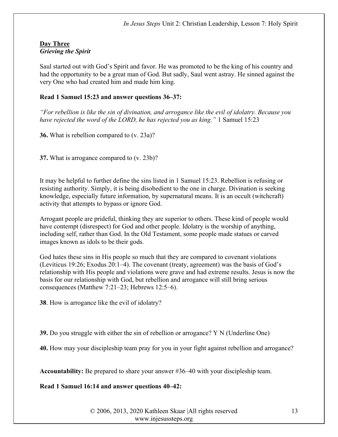#### Day Three Grieving the Spirit

Saul started out with God's Spirit and favor. He was promoted to be the king of his country and had the opportunity to be a great man of God. But sadly, Saul went astray. He sinned against the very One who had created him and made him king.

#### Read 1 Samuel 15:23 and answer questions 36–37:

"For rebellion is like the sin of divination, and arrogance like the evil of idolatry. Because you have rejected the word of the LORD, he has rejected you as king." 1 Samuel 15:23

36. What is rebellion compared to (v. 23a)?

37. What is arrogance compared to (v. 23b)?

It may be helpful to further define the sins listed in 1 Samuel 15:23. Rebellion is refusing or resisting authority. Simply, it is being disobedient to the one in charge. Divination is seeking knowledge, especially future information, by supernatural means. It is an occult (witchcraft) activity that attempts to bypass or ignore God.

Arrogant people are prideful, thinking they are superior to others. These kind of people would have contempt (disrespect) for God and other people. Idolatry is the worship of anything, including self, rather than God. In the Old Testament, some people made statues or carved images known as idols to be their gods.

God hates these sins in His people so much that they are compared to covenant violations (Leviticus 19:26; Exodus 20:1–4). The covenant (treaty, agreement) was the basis of God's relationship with His people and violations were grave and had extreme results. Jesus is now the basis for our relationship with God, but rebellion and arrogance will still bring serious consequences (Matthew 7:21–23; Hebrews 12:5–6).

38. How is arrogance like the evil of idolatry?

39. Do you struggle with either the sin of rebellion or arrogance? Y N (Underline One)

40. How may your discipleship team pray for you in your fight against rebellion and arrogance?

Accountability: Be prepared to share your answer #36–40 with your discipleship team.

Read 1 Samuel 16:14 and answer questions 40–42:

© 2006, 2013, 2020 Kathleen Skaar |All rights reserved www.injesussteps.org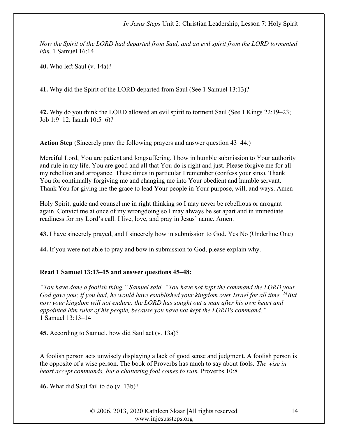Now the Spirit of the LORD had departed from Saul, and an evil spirit from the LORD tormented him. 1 Samuel 16:14

40. Who left Saul (v. 14a)?

41. Why did the Spirit of the LORD departed from Saul (See 1 Samuel 13:13)?

42. Why do you think the LORD allowed an evil spirit to torment Saul (See 1 Kings 22:19–23; Job 1:9–12; Isaiah 10:5–6)?

Action Step (Sincerely pray the following prayers and answer question 43–44.)

Merciful Lord, You are patient and longsuffering. I bow in humble submission to Your authority and rule in my life. You are good and all that You do is right and just. Please forgive me for all my rebellion and arrogance. These times in particular I remember (confess your sins). Thank You for continually forgiving me and changing me into Your obedient and humble servant. Thank You for giving me the grace to lead Your people in Your purpose, will, and ways. Amen

Holy Spirit, guide and counsel me in right thinking so I may never be rebellious or arrogant again. Convict me at once of my wrongdoing so I may always be set apart and in immediate readiness for my Lord's call. I live, love, and pray in Jesus' name. Amen.

43. I have sincerely prayed, and I sincerely bow in submission to God. Yes No (Underline One)

44. If you were not able to pray and bow in submission to God, please explain why.

#### Read 1 Samuel 13:13–15 and answer questions 45–48:

"You have done a foolish thing," Samuel said. "You have not kept the command the LORD your God gave you; if you had, he would have established your kingdom over Israel for all time.  $^{14}$ But now your kingdom will not endure; the LORD has sought out a man after his own heart and appointed him ruler of his people, because you have not kept the LORD's command." 1 Samuel 13:13–14

45. According to Samuel, how did Saul act (v. 13a)?

A foolish person acts unwisely displaying a lack of good sense and judgment. A foolish person is the opposite of a wise person. The book of Proverbs has much to say about fools. The wise in heart accept commands, but a chattering fool comes to ruin. Proverbs 10:8

46. What did Saul fail to do (v. 13b)?

© 2006, 2013, 2020 Kathleen Skaar |All rights reserved www.injesussteps.org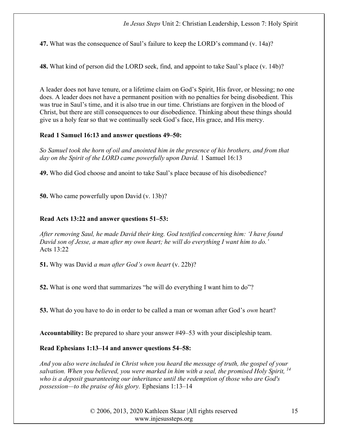47. What was the consequence of Saul's failure to keep the LORD's command (v. 14a)?

48. What kind of person did the LORD seek, find, and appoint to take Saul's place (v. 14b)?

A leader does not have tenure, or a lifetime claim on God's Spirit, His favor, or blessing; no one does. A leader does not have a permanent position with no penalties for being disobedient. This was true in Saul's time, and it is also true in our time. Christians are forgiven in the blood of Christ, but there are still consequences to our disobedience. Thinking about these things should give us a holy fear so that we continually seek God's face, His grace, and His mercy.

#### Read 1 Samuel 16:13 and answer questions 49–50:

So Samuel took the horn of oil and anointed him in the presence of his brothers, and from that day on the Spirit of the LORD came powerfully upon David. 1 Samuel 16:13

49. Who did God choose and anoint to take Saul's place because of his disobedience?

50. Who came powerfully upon David (v. 13b)?

# Read Acts 13:22 and answer questions 51–53:

After removing Saul, he made David their king. God testified concerning him: 'I have found David son of Jesse, a man after my own heart; he will do everything I want him to do.' Acts 13:22

51. Why was David a man after God's own heart (v. 22b)?

52. What is one word that summarizes "he will do everything I want him to do"?

53. What do you have to do in order to be called a man or woman after God's *own* heart?

Accountability: Be prepared to share your answer #49–53 with your discipleship team.

# Read Ephesians 1:13–14 and answer questions 54–58:

And you also were included in Christ when you heard the message of truth, the gospel of your salvation. When you believed, you were marked in him with a seal, the promised Holy Spirit,  $^{14}$ who is a deposit guaranteeing our inheritance until the redemption of those who are God's possession—to the praise of his glory. Ephesians 1:13–14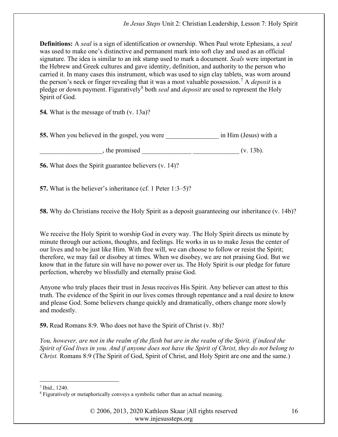**Definitions:** A seal is a sign of identification or ownership. When Paul wrote Ephesians, a seal was used to make one's distinctive and permanent mark into soft clay and used as an official signature. The idea is similar to an ink stamp used to mark a document. Seals were important in the Hebrew and Greek cultures and gave identity, definition, and authority to the person who carried it. In many cases this instrument, which was used to sign clay tablets, was worn around the person's neck or finger revealing that it was a most valuable possession.<sup>7</sup> A *deposit* is a pledge or down payment. Figuratively<sup>8</sup> both *seal* and *deposit* are used to represent the Holy Spirit of God.

54. What is the message of truth (v. 13a)?

55. When you believed in the gospel, you were \_\_\_\_\_\_\_\_\_\_\_\_\_\_\_\_\_\_\_\_\_ in Him (Jesus) with a

 $\blacksquare$ , the promised  $\blacksquare$ 

56. What does the Spirit guarantee believers (v. 14)?

57. What is the believer's inheritance (cf. 1 Peter 1:3–5)?

58. Why do Christians receive the Holy Spirit as a deposit guaranteeing our inheritance (v. 14b)?

We receive the Holy Spirit to worship God in every way. The Holy Spirit directs us minute by minute through our actions, thoughts, and feelings. He works in us to make Jesus the center of our lives and to be just like Him. With free will, we can choose to follow or resist the Spirit; therefore, we may fail or disobey at times. When we disobey, we are not praising God. But we know that in the future sin will have no power over us. The Holy Spirit is our pledge for future perfection, whereby we blissfully and eternally praise God.

Anyone who truly places their trust in Jesus receives His Spirit. Any believer can attest to this truth. The evidence of the Spirit in our lives comes through repentance and a real desire to know and please God. Some believers change quickly and dramatically, others change more slowly and modestly.

59. Read Romans 8:9. Who does not have the Spirit of Christ (v. 8b)?

You, however, are not in the realm of the flesh but are in the realm of the Spirit, if indeed the Spirit of God lives in you. And if anyone does not have the Spirit of Christ, they do not belong to Christ. Romans 8:9 (The Spirit of God, Spirit of Christ, and Holy Spirit are one and the same.)

 $<sup>7</sup>$  Ibid., 1240.</sup>

<sup>&</sup>lt;sup>8</sup> Figuratively or metaphorically conveys a symbolic rather than an actual meaning.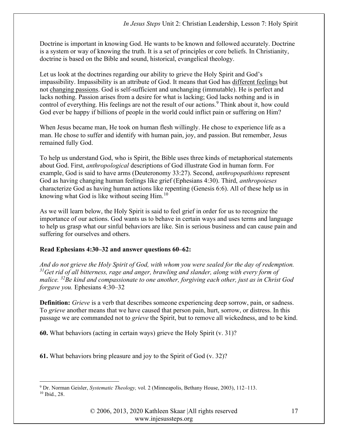Doctrine is important in knowing God. He wants to be known and followed accurately. Doctrine is a system or way of knowing the truth. It is a set of principles or core beliefs. In Christianity, doctrine is based on the Bible and sound, historical, evangelical theology.

Let us look at the doctrines regarding our ability to grieve the Holy Spirit and God's impassibility. Impassibility is an attribute of God. It means that God has different feelings but not changing passions. God is self-sufficient and unchanging (immutable). He is perfect and lacks nothing. Passion arises from a desire for what is lacking; God lacks nothing and is in control of everything. His feelings are not the result of our actions.<sup>9</sup> Think about it, how could God ever be happy if billions of people in the world could inflict pain or suffering on Him?

When Jesus became man, He took on human flesh willingly. He chose to experience life as a man. He chose to suffer and identify with human pain, joy, and passion. But remember, Jesus remained fully God.

To help us understand God, who is Spirit, the Bible uses three kinds of metaphorical statements about God. First, anthropological descriptions of God illustrate God in human form. For example, God is said to have arms (Deuteronomy 33:27). Second, anthropopathisms represent God as having changing human feelings like grief (Ephesians 4:30). Third, anthropoieses characterize God as having human actions like repenting (Genesis 6:6). All of these help us in knowing what God is like without seeing Him.<sup>10</sup>

As we will learn below, the Holy Spirit is said to feel grief in order for us to recognize the importance of our actions. God wants us to behave in certain ways and uses terms and language to help us grasp what our sinful behaviors are like. Sin is serious business and can cause pain and suffering for ourselves and others.

# Read Ephesians 4:30–32 and answer questions 60–62:

And do not grieve the Holy Spirit of God, with whom you were sealed for the day of redemption.  $31$  Get rid of all bitterness, rage and anger, brawling and slander, along with every form of malice.  $32Be$  kind and compassionate to one another, forgiving each other, just as in Christ God forgave you. Ephesians 4:30–32

Definition: *Grieve* is a verb that describes someone experiencing deep sorrow, pain, or sadness. To *grieve* another means that we have caused that person pain, hurt, sorrow, or distress. In this passage we are commanded not to grieve the Spirit, but to remove all wickedness, and to be kind.

60. What behaviors (acting in certain ways) grieve the Holy Spirit (v. 31)?

61. What behaviors bring pleasure and joy to the Spirit of God (v. 32)?

<sup>&</sup>lt;sup>9</sup> Dr. Norman Geisler, *Systematic Theology*, vol. 2 (Minneapolis, Bethany House, 2003), 112–113. 10 Ibid., 28.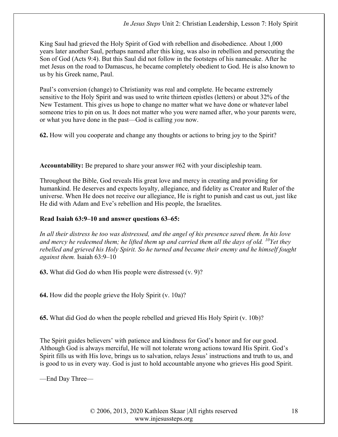King Saul had grieved the Holy Spirit of God with rebellion and disobedience. About 1,000 years later another Saul, perhaps named after this king, was also in rebellion and persecuting the Son of God (Acts 9:4). But this Saul did not follow in the footsteps of his namesake. After he met Jesus on the road to Damascus, he became completely obedient to God. He is also known to us by his Greek name, Paul.

Paul's conversion (change) to Christianity was real and complete. He became extremely sensitive to the Holy Spirit and was used to write thirteen epistles (letters) or about 32% of the New Testament. This gives us hope to change no matter what we have done or whatever label someone tries to pin on us. It does not matter who you were named after, who your parents were, or what you have done in the past—God is calling you now.

62. How will you cooperate and change any thoughts or actions to bring joy to the Spirit?

Accountability: Be prepared to share your answer #62 with your discipleship team.

Throughout the Bible, God reveals His great love and mercy in creating and providing for humankind. He deserves and expects loyalty, allegiance, and fidelity as Creator and Ruler of the universe. When He does not receive our allegiance, He is right to punish and cast us out, just like He did with Adam and Eve's rebellion and His people, the Israelites.

# Read Isaiah 63:9–10 and answer questions 63–65:

In all their distress he too was distressed, and the angel of his presence saved them. In his love and mercy he redeemed them; he lifted them up and carried them all the days of old.  $^{10}$ Yet they rebelled and grieved his Holy Spirit. So he turned and became their enemy and he himself fought against them. Isaiah 63:9–10

63. What did God do when His people were distressed (v. 9)?

64. How did the people grieve the Holy Spirit (v. 10a)?

65. What did God do when the people rebelled and grieved His Holy Spirit (v. 10b)?

The Spirit guides believers' with patience and kindness for God's honor and for our good. Although God is always merciful, He will not tolerate wrong actions toward His Spirit. God's Spirit fills us with His love, brings us to salvation, relays Jesus' instructions and truth to us, and is good to us in every way. God is just to hold accountable anyone who grieves His good Spirit.

—End Day Three—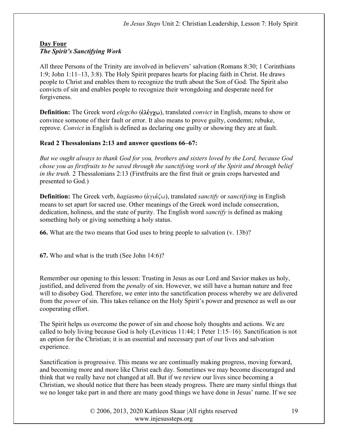#### Day Four The Spirit's Sanctifying Work

All three Persons of the Trinity are involved in believers' salvation (Romans 8:30; 1 Corinthians 1:9; John 1:11–13, 3:8). The Holy Spirit prepares hearts for placing faith in Christ. He draws people to Christ and enables them to recognize the truth about the Son of God. The Spirit also convicts of sin and enables people to recognize their wrongdoing and desperate need for forgiveness.

Definition: The Greek word *elegcho* (ἐλέγχω), translated *convict* in English, means to show or convince someone of their fault or error. It also means to prove guilty, condemn; rebuke, reprove. Convict in English is defined as declaring one guilty or showing they are at fault.

# Read 2 Thessalonians 2:13 and answer questions 66–67:

But we ought always to thank God for you, brothers and sisters loved by the Lord, because God chose you as firstfruits to be saved through the sanctifying work of the Spirit and through belief in the truth. 2 Thessalonians 2:13 (Firstfruits are the first fruit or grain crops harvested and presented to God.)

**Definition:** The Greek verb, *hagiasmo* ( $\dot{\alpha}$  $\gamma \dot{\alpha} \zeta \omega$ ), translated *sanctify* or *sanctifying* in English means to set apart for sacred use. Other meanings of the Greek word include consecration, dedication, holiness, and the state of purity. The English word *sanctify* is defined as making something holy or giving something a holy status.

66. What are the two means that God uses to bring people to salvation (v. 13b)?

67. Who and what is the truth (See John 14:6)?

Remember our opening to this lesson: Trusting in Jesus as our Lord and Savior makes us holy, justified, and delivered from the *penalty* of sin. However, we still have a human nature and free will to disobey God. Therefore, we enter into the sanctification process whereby we are delivered from the power of sin. This takes reliance on the Holy Spirit's power and presence as well as our cooperating effort.

The Spirit helps us overcome the power of sin and choose holy thoughts and actions. We are called to holy living because God is holy (Leviticus 11:44; 1 Peter 1:15–16). Sanctification is not an option for the Christian; it is an essential and necessary part of our lives and salvation experience.

Sanctification is progressive. This means we are continually making progress, moving forward, and becoming more and more like Christ each day. Sometimes we may become discouraged and think that we really have not changed at all. But if we review our lives since becoming a Christian, we should notice that there has been steady progress. There are many sinful things that we no longer take part in and there are many good things we have done in Jesus' name. If we see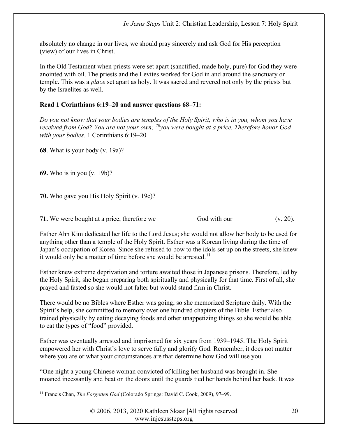absolutely no change in our lives, we should pray sincerely and ask God for His perception (view) of our lives in Christ.

In the Old Testament when priests were set apart (sanctified, made holy, pure) for God they were anointed with oil. The priests and the Levites worked for God in and around the sanctuary or temple. This was a place set apart as holy. It was sacred and revered not only by the priests but by the Israelites as well.

# Read 1 Corinthians 6:19–20 and answer questions 68–71:

Do you not know that your bodies are temples of the Holy Spirit, who is in you, whom you have received from God? You are not your own;  $^{20}$ you were bought at a price. Therefore honor God with your bodies. 1 Corinthians 6:19–20

68. What is your body (v. 19a)?

69. Who is in you (v. 19b)?

70. Who gave you His Holy Spirit (v. 19c)?

71. We were bought at a price, therefore we  $\qquad \qquad$  God with our  $(v. 20)$ .

Esther Ahn Kim dedicated her life to the Lord Jesus; she would not allow her body to be used for anything other than a temple of the Holy Spirit. Esther was a Korean living during the time of Japan's occupation of Korea. Since she refused to bow to the idols set up on the streets, she knew it would only be a matter of time before she would be arrested.<sup>11</sup>

Esther knew extreme deprivation and torture awaited those in Japanese prisons. Therefore, led by the Holy Spirit, she began preparing both spiritually and physically for that time. First of all, she prayed and fasted so she would not falter but would stand firm in Christ.

There would be no Bibles where Esther was going, so she memorized Scripture daily. With the Spirit's help, she committed to memory over one hundred chapters of the Bible. Esther also trained physically by eating decaying foods and other unappetizing things so she would be able to eat the types of "food" provided.

Esther was eventually arrested and imprisoned for six years from 1939–1945. The Holy Spirit empowered her with Christ's love to serve fully and glorify God. Remember, it does not matter where you are or what your circumstances are that determine how God will use you.

"One night a young Chinese woman convicted of killing her husband was brought in. She moaned incessantly and beat on the doors until the guards tied her hands behind her back. It was

<sup>&</sup>lt;sup>11</sup> Francis Chan, *The Forgotten God* (Colorado Springs: David C. Cook, 2009), 97-99.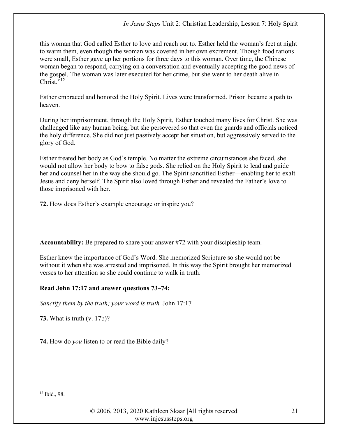this woman that God called Esther to love and reach out to. Esther held the woman's feet at night to warm them, even though the woman was covered in her own excrement. Though food rations were small, Esther gave up her portions for three days to this woman. Over time, the Chinese woman began to respond, carrying on a conversation and eventually accepting the good news of the gospel. The woman was later executed for her crime, but she went to her death alive in  $Christ. "12"$ 

Esther embraced and honored the Holy Spirit. Lives were transformed. Prison became a path to heaven.

During her imprisonment, through the Holy Spirit, Esther touched many lives for Christ. She was challenged like any human being, but she persevered so that even the guards and officials noticed the holy difference. She did not just passively accept her situation, but aggressively served to the glory of God.

Esther treated her body as God's temple. No matter the extreme circumstances she faced, she would not allow her body to bow to false gods. She relied on the Holy Spirit to lead and guide her and counsel her in the way she should go. The Spirit sanctified Esther—enabling her to exalt Jesus and deny herself. The Spirit also loved through Esther and revealed the Father's love to those imprisoned with her.

72. How does Esther's example encourage or inspire you?

Accountability: Be prepared to share your answer #72 with your discipleship team.

Esther knew the importance of God's Word. She memorized Scripture so she would not be without it when she was arrested and imprisoned. In this way the Spirit brought her memorized verses to her attention so she could continue to walk in truth.

# Read John 17:17 and answer questions 73–74:

Sanctify them by the truth; your word is truth. John 17:17

73. What is truth (v. 17b)?

74. How do *you* listen to or read the Bible daily?

<sup>12</sup> Ibid., 98.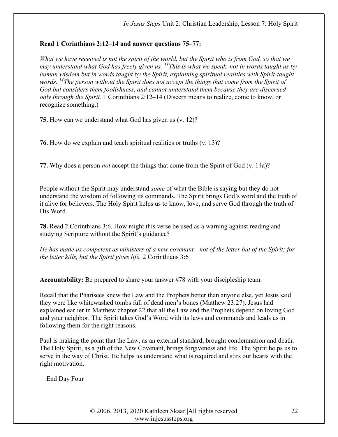#### Read 1 Corinthians 2:12–14 and answer questions 75–77:

What we have received is not the spirit of the world, but the Spirit who is from God, so that we may understand what God has freely given us.  $^{13}$ This is what we speak, not in words taught us by human wisdom but in words taught by the Spirit, explaining spiritual realities with Spirit-taught words. <sup>14</sup>The person without the Spirit does not accept the things that come from the Spirit of God but considers them foolishness, and cannot understand them because they are discerned only through the Spirit. 1 Corinthians 2:12–14 (Discern means to realize, come to know, or recognize something.)

75. How can we understand what God has given us (v. 12)?

76. How do we explain and teach spiritual realities or truths (v. 13)?

77. Why does a person *not* accept the things that come from the Spirit of God (v. 14a)?

People without the Spirit may understand *some* of what the Bible is saying but they do not understand the wisdom of following its commands. The Spirit brings God's word and the truth of it alive for believers. The Holy Spirit helps us to know, love, and serve God through the truth of His Word.

78. Read 2 Corinthians 3:6. How might this verse be used as a warning against reading and studying Scripture without the Spirit's guidance?

He has made us competent as ministers of a new covenant—not of the letter but of the Spirit; for the letter kills, but the Spirit gives life. 2 Corinthians 3:6

Accountability: Be prepared to share your answer #78 with your discipleship team.

Recall that the Pharisees knew the Law and the Prophets better than anyone else, yet Jesus said they were like whitewashed tombs full of dead men's bones (Matthew 23:27). Jesus had explained earlier in Matthew chapter 22 that all the Law and the Prophets depend on loving God and your neighbor. The Spirit takes God's Word with its laws and commands and leads us in following them for the right reasons.

Paul is making the point that the Law, as an external standard, brought condemnation and death. The Holy Spirit, as a gift of the New Covenant, brings forgiveness and life. The Spirit helps us to serve in the way of Christ. He helps us understand what is required and stirs our hearts with the right motivation.

—End Day Four—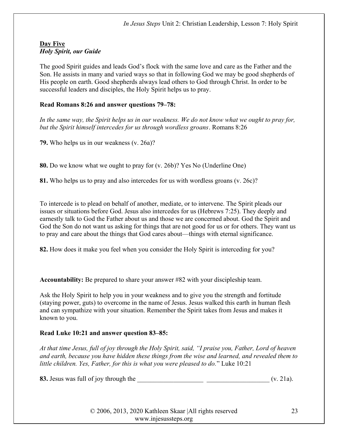#### Day Five Holy Spirit, our Guide

The good Spirit guides and leads God's flock with the same love and care as the Father and the Son. He assists in many and varied ways so that in following God we may be good shepherds of His people on earth. Good shepherds always lead others to God through Christ. In order to be successful leaders and disciples, the Holy Spirit helps us to pray.

# Read Romans 8:26 and answer questions 79–78:

In the same way, the Spirit helps us in our weakness. We do not know what we ought to pray for, but the Spirit himself intercedes for us through wordless groans. Romans 8:26

79. Who helps us in our weakness (v. 26a)?

80. Do we know what we ought to pray for (v. 26b)? Yes No (Underline One)

81. Who helps us to pray and also intercedes for us with wordless groans (v. 26c)?

To intercede is to plead on behalf of another, mediate, or to intervene. The Spirit pleads our issues or situations before God. Jesus also intercedes for us (Hebrews 7:25). They deeply and earnestly talk to God the Father about us and those we are concerned about. God the Spirit and God the Son do not want us asking for things that are not good for us or for others. They want us to pray and care about the things that God cares about—things with eternal significance.

82. How does it make you feel when you consider the Holy Spirit is interceding for you?

Accountability: Be prepared to share your answer #82 with your discipleship team.

Ask the Holy Spirit to help you in your weakness and to give you the strength and fortitude (staying power, guts) to overcome in the name of Jesus. Jesus walked this earth in human flesh and can sympathize with your situation. Remember the Spirit takes from Jesus and makes it known to you.

# Read Luke 10:21 and answer question 83–85:

At that time Jesus, full of joy through the Holy Spirit, said, "I praise you, Father, Lord of heaven and earth, because you have hidden these things from the wise and learned, and revealed them to little children. Yes, Father, for this is what you were pleased to do." Luke 10:21

83. Jesus was full of joy through the  $(v. 21a)$ .